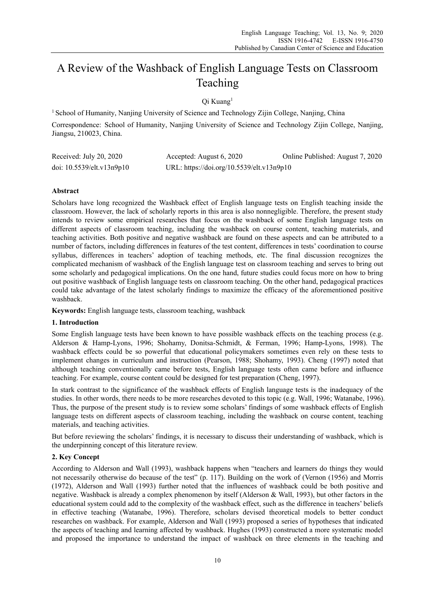# A Review of the Washback of English Language Tests on Classroom Teaching

# Qi Kuang1

<sup>1</sup> School of Humanity, Nanjing University of Science and Technology Zijin College, Nanjing, China Correspondence: School of Humanity, Nanjing University of Science and Technology Zijin College, Nanjing, Jiangsu, 210023, China.

| Received: July 20, 2020         | Accepted: August 6, 2020                  | Online Published: August 7, 2020 |
|---------------------------------|-------------------------------------------|----------------------------------|
| doi: $10.5539$ /elt.v $13n9p10$ | URL: https://doi.org/10.5539/elt.v13n9p10 |                                  |

# **Abstract**

Scholars have long recognized the Washback effect of English language tests on English teaching inside the classroom. However, the lack of scholarly reports in this area is also nonnegligible. Therefore, the present study intends to review some empirical researches that focus on the washback of some English language tests on different aspects of classroom teaching, including the washback on course content, teaching materials, and teaching activities. Both positive and negative washback are found on these aspects and can be attributed to a number of factors, including differences in features of the test content, differences in tests' coordination to course syllabus, differences in teachers' adoption of teaching methods, etc. The final discussion recognizes the complicated mechanism of washback of the English language test on classroom teaching and serves to bring out some scholarly and pedagogical implications. On the one hand, future studies could focus more on how to bring out positive washback of English language tests on classroom teaching. On the other hand, pedagogical practices could take advantage of the latest scholarly findings to maximize the efficacy of the aforementioned positive washback.

**Keywords:** English language tests, classroom teaching, washback

## **1. Introduction**

Some English language tests have been known to have possible washback effects on the teaching process (e.g. Alderson & Hamp-Lyons, 1996; Shohamy, Donitsa-Schmidt, & Ferman, 1996; Hamp-Lyons, 1998). The washback effects could be so powerful that educational policymakers sometimes even rely on these tests to implement changes in curriculum and instruction (Pearson, 1988; Shohamy, 1993). Cheng (1997) noted that although teaching conventionally came before tests, English language tests often came before and influence teaching. For example, course content could be designed for test preparation (Cheng, 1997).

In stark contrast to the significance of the washback effects of English language tests is the inadequacy of the studies. In other words, there needs to be more researches devoted to this topic (e.g. Wall, 1996; Watanabe, 1996). Thus, the purpose of the present study is to review some scholars' findings of some washback effects of English language tests on different aspects of classroom teaching, including the washback on course content, teaching materials, and teaching activities.

But before reviewing the scholars' findings, it is necessary to discuss their understanding of washback, which is the underpinning concept of this literature review.

## **2. Key Concept**

According to Alderson and Wall (1993), washback happens when "teachers and learners do things they would not necessarily otherwise do because of the test" (p. 117). Building on the work of (Vernon (1956) and Morris (1972), Alderson and Wall (1993) further noted that the influences of washback could be both positive and negative. Washback is already a complex phenomenon by itself (Alderson & Wall, 1993), but other factors in the educational system could add to the complexity of the washback effect, such as the difference in teachers' beliefs in effective teaching (Watanabe, 1996). Therefore, scholars devised theoretical models to better conduct researches on washback. For example, Alderson and Wall (1993) proposed a series of hypotheses that indicated the aspects of teaching and learning affected by washback. Hughes (1993) constructed a more systematic model and proposed the importance to understand the impact of washback on three elements in the teaching and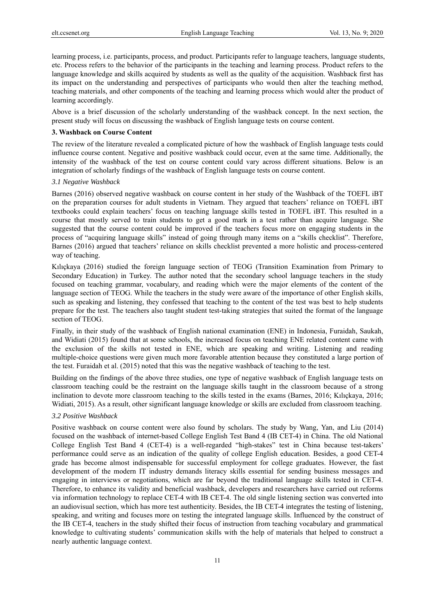learning process, i.e. participants, process, and product. Participants refer to language teachers, language students, etc. Process refers to the behavior of the participants in the teaching and learning process. Product refers to the language knowledge and skills acquired by students as well as the quality of the acquisition. Washback first has its impact on the understanding and perspectives of participants who would then alter the teaching method, teaching materials, and other components of the teaching and learning process which would alter the product of learning accordingly.

Above is a brief discussion of the scholarly understanding of the washback concept. In the next section, the present study will focus on discussing the washback of English language tests on course content.

#### **3. Washback on Course Content**

The review of the literature revealed a complicated picture of how the washback of English language tests could influence course content. Negative and positive washback could occur, even at the same time. Additionally, the intensity of the washback of the test on course content could vary across different situations. Below is an integration of scholarly findings of the washback of English language tests on course content.

## *3.1 Negative Washback*

Barnes (2016) observed negative washback on course content in her study of the Washback of the TOEFL iBT on the preparation courses for adult students in Vietnam. They argued that teachers' reliance on TOEFL iBT textbooks could explain teachers' focus on teaching language skills tested in TOEFL iBT. This resulted in a course that mostly served to train students to get a good mark in a test rather than acquire language. She suggested that the course content could be improved if the teachers focus more on engaging students in the process of "acquiring language skills" instead of going through many items on a "skills checklist". Therefore, Barnes (2016) argued that teachers' reliance on skills checklist prevented a more holistic and process-centered way of teaching.

Kılıçkaya (2016) studied the foreign language section of TEOG (Transition Examination from Primary to Secondary Education) in Turkey. The author noted that the secondary school language teachers in the study focused on teaching grammar, vocabulary, and reading which were the major elements of the content of the language section of TEOG. While the teachers in the study were aware of the importance of other English skills, such as speaking and listening, they confessed that teaching to the content of the test was best to help students prepare for the test. The teachers also taught student test-taking strategies that suited the format of the language section of TEOG.

Finally, in their study of the washback of English national examination (ENE) in Indonesia, Furaidah, Saukah, and Widiati (2015) found that at some schools, the increased focus on teaching ENE related content came with the exclusion of the skills not tested in ENE, which are speaking and writing. Listening and reading multiple-choice questions were given much more favorable attention because they constituted a large portion of the test. Furaidah et al. (2015) noted that this was the negative washback of teaching to the test.

Building on the findings of the above three studies, one type of negative washback of English language tests on classroom teaching could be the restraint on the language skills taught in the classroom because of a strong inclination to devote more classroom teaching to the skills tested in the exams (Barnes, 2016; Kılıçkaya, 2016; Widiati, 2015). As a result, other significant language knowledge or skills are excluded from classroom teaching.

#### *3.2 Positive Washback*

Positive washback on course content were also found by scholars. The study by Wang, Yan, and Liu (2014) focused on the washback of internet-based College English Test Band 4 (IB CET-4) in China. The old National College English Test Band 4 (CET-4) is a well-regarded "high-stakes" test in China because test-takers' performance could serve as an indication of the quality of college English education. Besides, a good CET-4 grade has become almost indispensable for successful employment for college graduates. However, the fast development of the modern IT industry demands literacy skills essential for sending business messages and engaging in interviews or negotiations, which are far beyond the traditional language skills tested in CET-4. Therefore, to enhance its validity and beneficial washback, developers and researchers have carried out reforms via information technology to replace CET-4 with IB CET-4. The old single listening section was converted into an audiovisual section, which has more test authenticity. Besides, the IB CET-4 integrates the testing of listening, speaking, and writing and focuses more on testing the integrated language skills. Influenced by the construct of the IB CET-4, teachers in the study shifted their focus of instruction from teaching vocabulary and grammatical knowledge to cultivating students' communication skills with the help of materials that helped to construct a nearly authentic language context.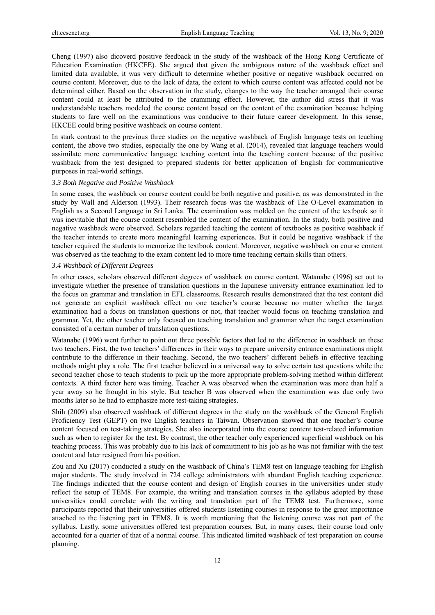Cheng (1997) also dicoverd positive feedback in the study of the washback of the Hong Kong Certificate of Education Examination (HKCEE). She argued that given the ambiguous nature of the washback effect and limited data available, it was very difficult to determine whether positive or negative washback occurred on course content. Moreover, due to the lack of data, the extent to which course content was affected could not be determined either. Based on the observation in the study, changes to the way the teacher arranged their course content could at least be attributed to the cramming effect. However, the author did stress that it was understandable teachers modeled the course content based on the content of the examination because helping students to fare well on the examinations was conducive to their future career development. In this sense, HKCEE could bring positive washback on course content.

In stark contrast to the previous three studies on the negative washback of English language tests on teaching content, the above two studies, especially the one by Wang et al. (2014), revealed that language teachers would assimilate more communicative language teaching content into the teaching content because of the positive washback from the test designed to prepared students for better application of English for communicative purposes in real-world settings.

#### *3.3 Both Negative and Positive Washback*

In some cases, the washback on course content could be both negative and positive, as was demonstrated in the study by Wall and Alderson (1993). Their research focus was the washback of The O-Level examination in English as a Second Language in Sri Lanka. The examination was molded on the content of the textbook so it was inevitable that the course content resembled the content of the examination. In the study, both positive and negative washback were observed. Scholars regarded teaching the content of textbooks as positive washback if the teacher intends to create more meaningful learning experiences. But it could be negative washback if the teacher required the students to memorize the textbook content. Moreover, negative washback on course content was observed as the teaching to the exam content led to more time teaching certain skills than others.

#### *3.4 Washback of Different Degrees*

In other cases, scholars observed different degrees of washback on course content. Watanabe (1996) set out to investigate whether the presence of translation questions in the Japanese university entrance examination led to the focus on grammar and translation in EFL classrooms. Research results demonstrated that the test content did not generate an explicit washback effect on one teacher's course because no matter whether the target examination had a focus on translation questions or not, that teacher would focus on teaching translation and grammar. Yet, the other teacher only focused on teaching translation and grammar when the target examination consisted of a certain number of translation questions.

Watanabe (1996) went further to point out three possible factors that led to the difference in washback on these two teachers. First, the two teachers' differences in their ways to prepare university entrance examinations might contribute to the difference in their teaching. Second, the two teachers' different beliefs in effective teaching methods might play a role. The first teacher believed in a universal way to solve certain test questions while the second teacher chose to teach students to pick up the more appropriate problem-solving method within different contexts. A third factor here was timing. Teacher A was observed when the examination was more than half a year away so he thought in his style. But teacher B was observed when the examination was due only two months later so he had to emphasize more test-taking strategies.

Shih (2009) also observed washback of different degrees in the study on the washback of the General English Proficiency Test (GEPT) on two English teachers in Taiwan. Observation showed that one teacher's course content focused on test-taking strategies. She also incorporated into the course content test-related information such as when to register for the test. By contrast, the other teacher only experienced superficial washback on his teaching process. This was probably due to his lack of commitment to his job as he was not familiar with the test content and later resigned from his position.

Zou and Xu (2017) conducted a study on the washback of China's TEM8 test on language teaching for English major students. The study involved in 724 college administrators with abundant English teaching experience. The findings indicated that the course content and design of English courses in the universities under study reflect the setup of TEM8. For example, the writing and translation courses in the syllabus adopted by these universities could correlate with the writing and translation part of the TEM8 test. Furthermore, some participants reported that their universities offered students listening courses in response to the great importance attached to the listening part in TEM8. It is worth mentioning that the listening course was not part of the syllabus. Lastly, some universities offered test preparation courses. But, in many cases, their course load only accounted for a quarter of that of a normal course. This indicated limited washback of test preparation on course planning.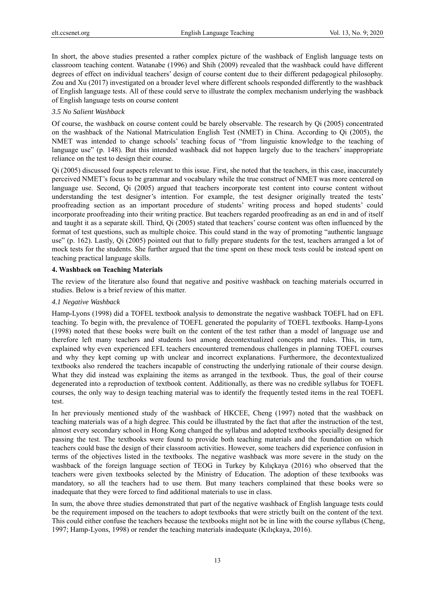In short, the above studies presented a rather complex picture of the washback of English language tests on classroom teaching content. Watanabe (1996) and Shih (2009) revealed that the washback could have different degrees of effect on individual teachers' design of course content due to their different pedagogical philosophy. Zou and Xu (2017) investigated on a broader level where different schools responded differently to the washback of English language tests. All of these could serve to illustrate the complex mechanism underlying the washback of English language tests on course content

#### *3.5 No Salient Washback*

Of course, the washback on course content could be barely observable. The research by Qi (2005) concentrated on the washback of the National Matriculation English Test (NMET) in China. According to Qi (2005), the NMET was intended to change schools' teaching focus of "from linguistic knowledge to the teaching of language use" (p. 148). But this intended washback did not happen largely due to the teachers' inappropriate reliance on the test to design their course.

Qi (2005) discussed four aspects relevant to this issue. First, she noted that the teachers, in this case, inaccurately perceived NMET's focus to be grammar and vocabulary while the true construct of NMET was more centered on language use. Second, Qi (2005) argued that teachers incorporate test content into course content without understanding the test designer's intention. For example, the test designer originally treated the tests' proofreading section as an important procedure of students' writing process and hoped students' could incorporate proofreading into their writing practice. But teachers regarded proofreading as an end in and of itself and taught it as a separate skill. Third, Qi (2005) stated that teachers' course content was often influenced by the format of test questions, such as multiple choice. This could stand in the way of promoting "authentic language use" (p. 162). Lastly, Qi (2005) pointed out that to fully prepare students for the test, teachers arranged a lot of mock tests for the students. She further argued that the time spent on these mock tests could be instead spent on teaching practical language skills.

#### **4. Washback on Teaching Materials**

The review of the literature also found that negative and positive washback on teaching materials occurred in studies. Below is a brief review of this matter.

#### *4.1 Negative Washback*

Hamp-Lyons (1998) did a TOFEL textbook analysis to demonstrate the negative washback TOEFL had on EFL teaching. To begin with, the prevalence of TOEFL generated the popularity of TOEFL textbooks. Hamp-Lyons (1998) noted that these books were built on the content of the test rather than a model of language use and therefore left many teachers and students lost among decontextualized concepts and rules. This, in turn, explained why even experienced EFL teachers encountered tremendous challenges in planning TOEFL courses and why they kept coming up with unclear and incorrect explanations. Furthermore, the decontextualized textbooks also rendered the teachers incapable of constructing the underlying rationale of their course design. What they did instead was explaining the items as arranged in the textbook. Thus, the goal of their course degenerated into a reproduction of textbook content. Additionally, as there was no credible syllabus for TOEFL courses, the only way to design teaching material was to identify the frequently tested items in the real TOEFL test.

In her previously mentioned study of the washback of HKCEE, Cheng (1997) noted that the washback on teaching materials was of a high degree. This could be illustrated by the fact that after the instruction of the test, almost every secondary school in Hong Kong changed the syllabus and adopted textbooks specially designed for passing the test. The textbooks were found to provide both teaching materials and the foundation on which teachers could base the design of their classroom activities. However, some teachers did experience confusion in terms of the objectives listed in the textbooks. The negative washback was more severe in the study on the washback of the foreign language section of TEOG in Turkey by Kılıçkaya (2016) who observed that the teachers were given textbooks selected by the Ministry of Education. The adoption of these textbooks was mandatory, so all the teachers had to use them. But many teachers complained that these books were so inadequate that they were forced to find additional materials to use in class.

In sum, the above three studies demonstrated that part of the negative washback of English language tests could be the requirement imposed on the teachers to adopt textbooks that were strictly built on the content of the text. This could either confuse the teachers because the textbooks might not be in line with the course syllabus (Cheng, 1997; Hamp-Lyons, 1998) or render the teaching materials inadequate (Kılıçkaya, 2016).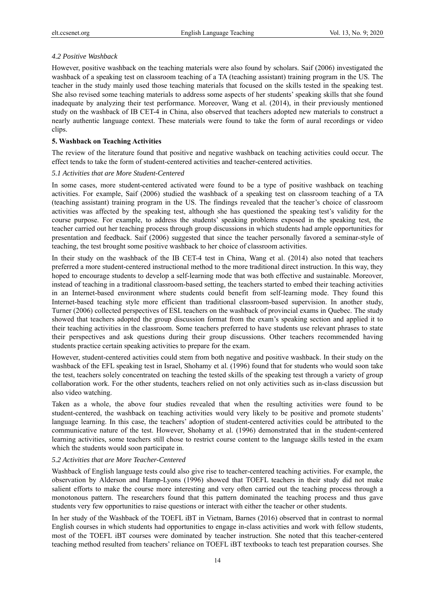#### *4.2 Positive Washback*

However, positive washback on the teaching materials were also found by scholars. Saif (2006) investigated the washback of a speaking test on classroom teaching of a TA (teaching assistant) training program in the US. The teacher in the study mainly used those teaching materials that focused on the skills tested in the speaking test. She also revised some teaching materials to address some aspects of her students' speaking skills that she found inadequate by analyzing their test performance. Moreover, Wang et al. (2014), in their previously mentioned study on the washback of IB CET-4 in China, also observed that teachers adopted new materials to construct a nearly authentic language context. These materials were found to take the form of aural recordings or video clips.

#### **5. Washback on Teaching Activities**

The review of the literature found that positive and negative washback on teaching activities could occur. The effect tends to take the form of student-centered activities and teacher-centered activities.

## *5.1 Activities that are More Student-Centered*

In some cases, more student-centered activated were found to be a type of positive washback on teaching activities. For example, Saif (2006) studied the washback of a speaking test on classroom teaching of a TA (teaching assistant) training program in the US. The findings revealed that the teacher's choice of classroom activities was affected by the speaking test, although she has questioned the speaking test's validity for the course purpose. For example, to address the students' speaking problems exposed in the speaking test, the teacher carried out her teaching process through group discussions in which students had ample opportunities for presentation and feedback. Saif (2006) suggested that since the teacher personally favored a seminar-style of teaching, the test brought some positive washback to her choice of classroom activities.

In their study on the washback of the IB CET-4 test in China, Wang et al. (2014) also noted that teachers preferred a more student-centered instructional method to the more traditional direct instruction. In this way, they hoped to encourage students to develop a self-learning mode that was both effective and sustainable. Moreover, instead of teaching in a traditional classroom-based setting, the teachers started to embed their teaching activities in an Internet-based environment where students could benefit from self-learning mode. They found this Internet-based teaching style more efficient than traditional classroom-based supervision. In another study, Turner (2006) collected perspectives of ESL teachers on the washback of provincial exams in Quebec. The study showed that teachers adopted the group discussion format from the exam's speaking section and applied it to their teaching activities in the classroom. Some teachers preferred to have students use relevant phrases to state their perspectives and ask questions during their group discussions. Other teachers recommended having students practice certain speaking activities to prepare for the exam.

However, student-centered activities could stem from both negative and positive washback. In their study on the washback of the EFL speaking test in Israel, Shohamy et al. (1996) found that for students who would soon take the test, teachers solely concentrated on teaching the tested skills of the speaking test through a variety of group collaboration work. For the other students, teachers relied on not only activities such as in-class discussion but also video watching.

Taken as a whole, the above four studies revealed that when the resulting activities were found to be student-centered, the washback on teaching activities would very likely to be positive and promote students' language learning. In this case, the teachers' adoption of student-centered activities could be attributed to the communicative nature of the test. However, Shohamy et al. (1996) demonstrated that in the student-centered learning activities, some teachers still chose to restrict course content to the language skills tested in the exam which the students would soon participate in.

#### *5.2 Activities that are More Teacher-Centered*

Washback of English language tests could also give rise to teacher-centered teaching activities. For example, the observation by Alderson and Hamp-Lyons (1996) showed that TOEFL teachers in their study did not make salient efforts to make the course more interesting and very often carried out the teaching process through a monotonous pattern. The researchers found that this pattern dominated the teaching process and thus gave students very few opportunities to raise questions or interact with either the teacher or other students.

In her study of the Washback of the TOEFL iBT in Vietnam, Barnes (2016) observed that in contrast to normal English courses in which students had opportunities to engage in-class activities and work with fellow students, most of the TOEFL iBT courses were dominated by teacher instruction. She noted that this teacher-centered teaching method resulted from teachers' reliance on TOEFL iBT textbooks to teach test preparation courses. She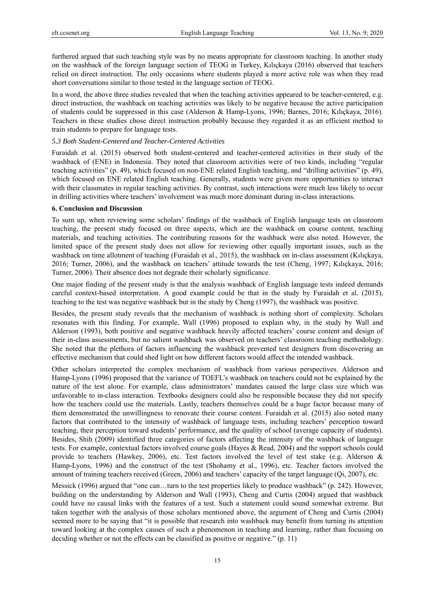furthered argued that such teaching style was by no means appropriate for classroom teaching. In another study on the washback of the foreign language section of TEOG in Turkey, Kılıçkaya (2016) observed that teachers relied on direct instruction. The only occasions where students played a more active role was when they read short conversations similar to those tested in the language section of TEOG.

In a word, the above three studies revealed that when the teaching activities appeared to be teacher-centered, e.g. direct instruction, the washback on teaching activities was likely to be negative because the active participation of students could be suppressed in this case (Alderson & Hamp-Lyons, 1996; Barnes, 2016; Kılıçkaya, 2016). Teachers in these studies chose direct instruction probably because they regarded it as an efficient method to train students to prepare for language tests.

### *5.3 Both Student-Centered and Teacher-Centered Activities*

Furaidah et al. (2015) observed both student-centered and teacher-centered activities in their study of the washback of (ENE) in Indonesia. They noted that classroom activities were of two kinds, including "regular teaching activities" (p. 49), which focused on non-ENE related English teaching, and "drilling activities" (p. 49), which focused on ENE related English teaching. Generally, students were given more opportunities to interact with their classmates in regular teaching activities. By contrast, such interactions were much less likely to occur in drilling activities where teachers' involvement was much more dominant during in-class interactions.

#### **6. Conclusion and Discussion**

To sum up, when reviewing some scholars' findings of the washback of English language tests on classroom teaching, the present study focused on three aspects, which are the washback on course content, teaching materials, and teaching activities. The contributing reasons for the washback were also noted. However, the limited space of the present study does not allow for reviewing other equally important issues, such as the washback on time allotment of teaching (Furaidah et al., 2015), the washback on in-class assessment (Kılıçkaya, 2016; Turner, 2006), and the washback on teachers' attitude towards the test (Cheng, 1997; Kılıçkaya, 2016; Turner, 2006). Their absence does not degrade their scholarly significance.

One major finding of the present study is that the analysis washback of English language tests indeed demands careful context-based interpretation. A good example could be that in the study by Furaidah et al. (2015), teaching to the test was negative washback but in the study by Cheng (1997), the washback was positive.

Besides, the present study reveals that the mechanism of washback is nothing short of complexity. Scholars resonates with this finding. For example, Wall (1996) proposed to explain why, in the study by Wall and Alderson (1993), both positive and negative washback heavily affected teachers' course content and design of their in-class assessments, but no salient washback was observed on teachers' classroom teaching methodology. She noted that the plethora of factors influencing the washback prevented test designers from discovering an effective mechanism that could shed light on how different factors would affect the intended washback.

Other scholars interpreted the complex mechanism of washback from various perspectives. Alderson and Hamp-Lyons (1996) proposed that the variance of TOEFL's washback on teachers could not be explained by the nature of the test alone. For example, class administrators' mandates caused the large class size which was unfavorable to in-class interaction. Textbooks designers could also be responsible because they did not specify how the teachers could use the materials. Lastly, teachers themselves could be a huge factor because many of them demonstrated the unwillingness to renovate their course content. Furaidah et al. (2015) also noted many factors that contributed to the intensity of washback of language tests, including teachers' perception toward teaching, their perception toward students' performance, and the quality of school (average capacity of students). Besides, Shih (2009) identified three categories of factors affecting the intensity of the washback of language tests. For example, contextual factors involved course goals (Hayes & Read, 2004) and the support schools could provide to teachers (Hawkey, 2006), etc. Test factors involved the level of test stake (e.g. Alderson & Hamp-Lyons, 1996) and the construct of the test (Shohamy et al., 1996), etc. Teacher factors involved the amount of training teachers received (Green, 2006) and teachers' capacity of the target language (Qi, 2007), etc.

Messick (1996) argued that "one can…turn to the test properties likely to produce washback" (p. 242). However, building on the understanding by Alderson and Wall (1993), Cheng and Curtis (2004) argued that washback could have no causal links with the features of a test. Such a statement could sound somewhat extreme. But taken together with the analysis of those scholars mentioned above, the argument of Cheng and Curtis (2004) seemed more to be saying that "it is possible that research into washback may benefit from turning its attention toward looking at the complex causes of such a phenomenon in teaching and learning, rather than focusing on deciding whether or not the effects can be classified as positive or negative." (p. 11)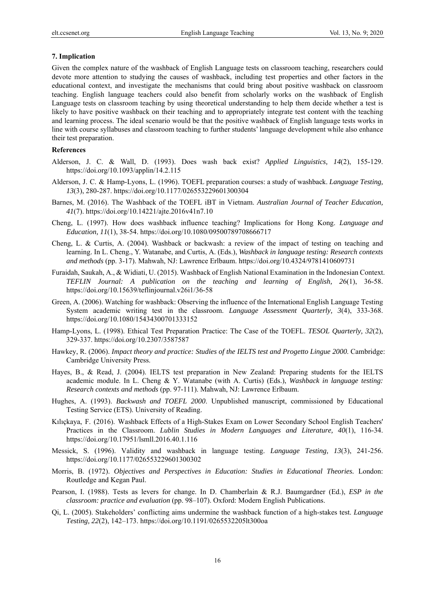#### **7. Implication**

Given the complex nature of the washback of English Language tests on classroom teaching, researchers could devote more attention to studying the causes of washback, including test properties and other factors in the educational context, and investigate the mechanisms that could bring about positive washback on classroom teaching. English language teachers could also benefit from scholarly works on the washback of English Language tests on classroom teaching by using theoretical understanding to help them decide whether a test is likely to have positive washback on their teaching and to appropriately integrate test content with the teaching and learning process. The ideal scenario would be that the positive washback of English language tests works in line with course syllabuses and classroom teaching to further students' language development while also enhance their test preparation.

#### **References**

- Alderson, J. C. & Wall, D. (1993). Does wash back exist? *Applied Linguistics, 14*(2), 155-129. https://doi.org/10.1093/applin/14.2.115
- Alderson, J. C. & Hamp-Lyons, L. (1996). TOEFL preparation courses: a study of washback. *Language Testing, 13*(3), 280-287. https://doi.org/10.1177/026553229601300304
- Barnes, M. (2016). The Washback of the TOEFL iBT in Vietnam. *Australian Journal of Teacher Education, 41*(7). https://doi.org/10.14221/ajte.2016v41n7.10
- Cheng, L. (1997). How does washback influence teaching? Implications for Hong Kong. *Language and Education, 11*(1), 38-54. https://doi.org/10.1080/09500789708666717
- Cheng, L. & Curtis, A. (2004). Washback or backwash: a review of the impact of testing on teaching and learning. In L. Cheng., Y. Watanabe, and Curtis, A. (Eds.), *Washback in language testing: Research contexts and methods* (pp. 3-17). Mahwah, NJ: Lawrence Erlbaum. https://doi.org/10.4324/9781410609731
- Furaidah, Saukah, A., & Widiati, U. (2015). Washback of English National Examination in the Indonesian Context. *TEFLIN Journal: A publication on the teaching and learning of English, 2*6(1), 36-58. https://doi.org/10.15639/teflinjournal.v26i1/36-58
- Green, A. (2006). Watching for washback: Observing the influence of the International English Language Testing System academic writing test in the classroom. *Language Assessment Quarterly, 3*(4), 333-368. https://doi.org/10.1080/15434300701333152
- Hamp-Lyons, L. (1998). Ethical Test Preparation Practice: The Case of the TOEFL. *TESOL Quarterly, 32*(2), 329-337. https://doi.org/10.2307/3587587
- Hawkey, R. (2006). *Impact theory and practice: Studies of the IELTS test and Progetto Lingue 2000*. Cambridge: Cambridge University Press.
- Hayes, B., & Read, J. (2004). IELTS test preparation in New Zealand: Preparing students for the IELTS academic module. In L. Cheng & Y. Watanabe (with A. Curtis) (Eds.), *Washback in language testing: Research contexts and methods* (pp. 97-111). Mahwah, NJ: Lawrence Erlbaum.
- Hughes, A. (1993). *Backwash and TOEFL 2000*. Unpublished manuscript, commissioned by Educational Testing Service (ETS). University of Reading.
- Kılıçkaya, F. (2016). Washback Effects of a High-Stakes Exam on Lower Secondary School English Teachers' Practices in the Classroom. *Lublin Studies in Modern Languages and Literature, 40*(1), 116-34. https://doi.org/10.17951/lsmll.2016.40.1.116
- Messick, S. (1996). Validity and washback in language testing. *Language Testing, 13*(3), 241-256. https://doi.org/10.1177/026553229601300302
- Morris, B. (1972). *Objectives and Perspectives in Education: Studies in Educational Theories.* London: Routledge and Kegan Paul.
- Pearson, I. (1988). Tests as levers for change. In D. Chamberlain & R.J. Baumgardner (Ed.), *ESP in the classroom: practice and evaluation* (pp. 98–107). Oxford: Modern English Publications.
- Qi, L. (2005). Stakeholders' conflicting aims undermine the washback function of a high-stakes test. *Language Testing, 22*(2), 142–173. https://doi.org/10.1191/0265532205lt300oa